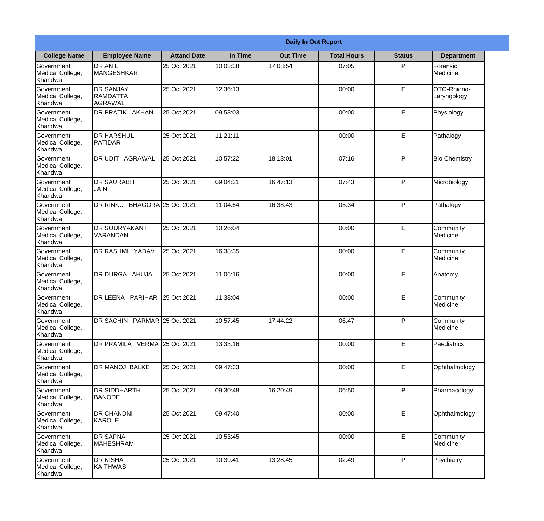|                                           |                                                       | <b>Daily In Out Report</b> |          |                 |                    |               |                            |
|-------------------------------------------|-------------------------------------------------------|----------------------------|----------|-----------------|--------------------|---------------|----------------------------|
| <b>College Name</b>                       | <b>Employee Name</b>                                  | <b>Attand Date</b>         | In Time  | <b>Out Time</b> | <b>Total Hours</b> | <b>Status</b> | <b>Department</b>          |
| Government<br>Medical College,<br>Khandwa | <b>DR ANIL</b><br>MANGESHKAR                          | 25 Oct 2021                | 10:03:38 | 17:08:54        | 07:05              | P             | Forensic<br>Medicine       |
| Government<br>Medical College,<br>Khandwa | <b>DR SANJAY</b><br><b>RAMDATTA</b><br><b>AGRAWAL</b> | 25 Oct 2021                | 12:36:13 |                 | 00:00              | $\mathsf E$   | OTO-Rhiono-<br>Laryngology |
| Government<br>Medical College,<br>Khandwa | DR PRATIK AKHANI                                      | 25 Oct 2021                | 09:53:03 |                 | 00:00              | E             | Physiology                 |
| Government<br>Medical College,<br>Khandwa | <b>DR HARSHUL</b><br>PATIDAR                          | 25 Oct 2021                | 11:21:11 |                 | 00:00              | E             | Pathalogy                  |
| Government<br>Medical College,<br>Khandwa | DR UDIT AGRAWAL                                       | 25 Oct 2021                | 10:57:22 | 18:13:01        | 07:16              | P             | <b>Bio Chemistry</b>       |
| Government<br>Medical College,<br>Khandwa | <b>DR SAURABH</b><br><b>JAIN</b>                      | 25 Oct 2021                | 09:04:21 | 16:47:13        | 07:43              | P             | Microbiology               |
| Government<br>Medical College,<br>Khandwa | DR RINKU BHAGORA 25 Oct 2021                          |                            | 11:04:54 | 16:38:43        | 05:34              | P             | Pathalogy                  |
| Government<br>Medical College,<br>Khandwa | <b>DR SOURYAKANT</b><br>VARANDANI                     | 25 Oct 2021                | 10:26:04 |                 | 00:00              | E             | Community<br>Medicine      |
| Government<br>Medical College,<br>Khandwa | DR RASHMI YADAV                                       | 25 Oct 2021                | 16:38:35 |                 | 00:00              | E             | Community<br>Medicine      |
| Government<br>Medical College,<br>Khandwa | DR DURGA AHUJA                                        | 25 Oct 2021                | 11:06:16 |                 | 00:00              | $\mathsf E$   | Anatomy                    |
| Government<br>Medical College,<br>Khandwa | DR LEENA PARIHAR                                      | 25 Oct 2021                | 11:38:04 |                 | 00:00              | E             | Community<br>Medicine      |
| Government<br>Medical College,<br>Khandwa | DR SACHIN PARMAR 25 Oct 2021                          |                            | 10:57:45 | 17:44:22        | 06:47              | P             | Community<br>Medicine      |
| Government<br>Medical College,<br>Khandwa | DR PRAMILA VERMA 25 Oct 2021                          |                            | 13:33:16 |                 | 00:00              | E             | Paediatrics                |
| Government<br>Medical College,<br>Khandwa | DR MANOJ BALKE                                        | 25 Oct 2021                | 09:47:33 |                 | 00:00              | $\mathsf E$   | Ophthalmology              |
| Government<br>Medical College,<br>Khandwa | DR SIDDHARTH<br><b>BANODE</b>                         | 25 Oct 2021                | 09:30:48 | 16:20:49        | 06:50              | P             | Pharmacology               |
| Government<br>Medical College,<br>Khandwa | DR CHANDNI<br>KAROLE                                  | 25 Oct 2021                | 09:47:40 |                 | 00:00              | E             | Ophthalmology              |
| Government<br>Medical College,<br>Khandwa | <b>DR SAPNA</b><br><b>MAHESHRAM</b>                   | 25 Oct 2021                | 10:53:45 |                 | 00:00              | E             | Community<br>Medicine      |
| Government<br>Medical College,<br>Khandwa | DR NISHA<br><b>KAITHWAS</b>                           | 25 Oct 2021                | 10:39:41 | 13:28:45        | 02:49              | P             | Psychiatry                 |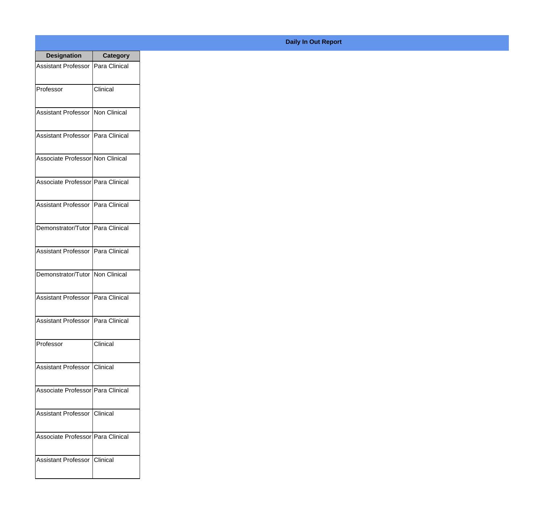| <b>Designation</b>                  | <b>Category</b> |
|-------------------------------------|-----------------|
| Assistant Professor   Para Clinical |                 |
| Professor                           | Clinical        |
| Assistant Professor                 | Non Clinical    |
| <b>Assistant Professor</b>          | Para Clinical   |
| Associate Professor Non Clinical    |                 |
| Associate Professor Para Clinical   |                 |
| Assistant Professor   Para Clinical |                 |
| Demonstrator/Tutor   Para Clinical  |                 |
| Assistant Professor   Para Clinical |                 |
| Demonstrator/Tutor   Non Clinical   |                 |
| Assistant Professor                 | Para Clinical   |
| Assistant Professor   Para Clinical |                 |
| Professor                           | Clinical        |
| Assistant Professor   Clinical      |                 |
| Associate Professor Para Clinical   |                 |
| <b>Assistant Professor</b>          | <b>Clinical</b> |
| Associate Professor   Para Clinical |                 |
| Assistant Professor   Clinical      |                 |

## **Daily In Out Report**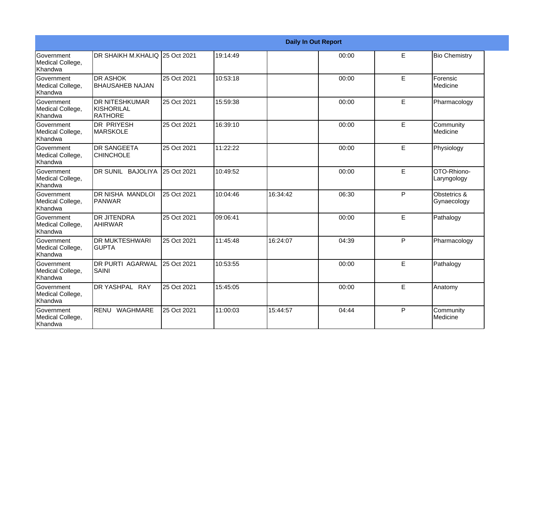|                                                   |                                                        |             |          |          | <b>Daily In Out Report</b> |              |                             |
|---------------------------------------------------|--------------------------------------------------------|-------------|----------|----------|----------------------------|--------------|-----------------------------|
| <b>Government</b><br>Medical College,<br>Khandwa  | DR SHAIKH M.KHALIQ 25 Oct 2021                         |             | 19:14:49 |          | 00:00                      | E            | <b>Bio Chemistry</b>        |
| Government<br>Medical College,<br>Khandwa         | <b>DR ASHOK</b><br><b>BHAUSAHEB NAJAN</b>              | 25 Oct 2021 | 10:53:18 |          | 00:00                      | E            | Forensic<br>Medicine        |
| Government<br>Medical College,<br>Khandwa         | <b>DR NITESHKUMAR</b><br>KISHORILAL<br><b>IRATHORE</b> | 25 Oct 2021 | 15:59:38 |          | 00:00                      | E            | Pharmacology                |
| <b>Government</b><br>Medical College,<br>Khandwa  | <b>DR PRIYESH</b><br>MARSKOLE                          | 25 Oct 2021 | 16:39:10 |          | 00:00                      | E            | Community<br>Medicine       |
| Government<br>Medical College,<br>Khandwa         | <b>DR SANGEETA</b><br><b>CHINCHOLE</b>                 | 25 Oct 2021 | 11:22:22 |          | 00:00                      | E            | Physiology                  |
| Government<br>Medical College,<br>Khandwa         | DR SUNIL BAJOLIYA                                      | 25 Oct 2021 | 10:49:52 |          | 00:00                      | E            | OTO-Rhiono-<br>Laryngology  |
| Government<br>Medical College,<br>Khandwa         | DR NISHA MANDLOI<br>PANWAR                             | 25 Oct 2021 | 10:04:46 | 16:34:42 | 06:30                      | P            | Obstetrics &<br>Gynaecology |
| <b>Government</b><br>Medical College,<br>∣Khandwa | <b>DR JITENDRA</b><br><b>AHIRWAR</b>                   | 25 Oct 2021 | 09:06:41 |          | 00:00                      | E            | Pathalogy                   |
| Government<br>Medical College,<br>Khandwa         | <b>DR MUKTESHWARI</b><br><b>GUPTA</b>                  | 25 Oct 2021 | 11:45:48 | 16:24:07 | 04:39                      | P            | Pharmacology                |
| Government<br>Medical College,<br>Khandwa         | <b>DR PURTI AGARWAL</b><br><b>SAINI</b>                | 25 Oct 2021 | 10:53:55 |          | 00:00                      | E            | Pathalogy                   |
| Government<br>Medical College,<br>Khandwa         | DR YASHPAL RAY                                         | 25 Oct 2021 | 15:45:05 |          | 00:00                      | E            | Anatomy                     |
| Government<br>Medical College,<br>Khandwa         | RENU<br>WAGHMARE                                       | 25 Oct 2021 | 11:00:03 | 15:44:57 | 04:44                      | $\mathsf{P}$ | Community<br>Medicine       |